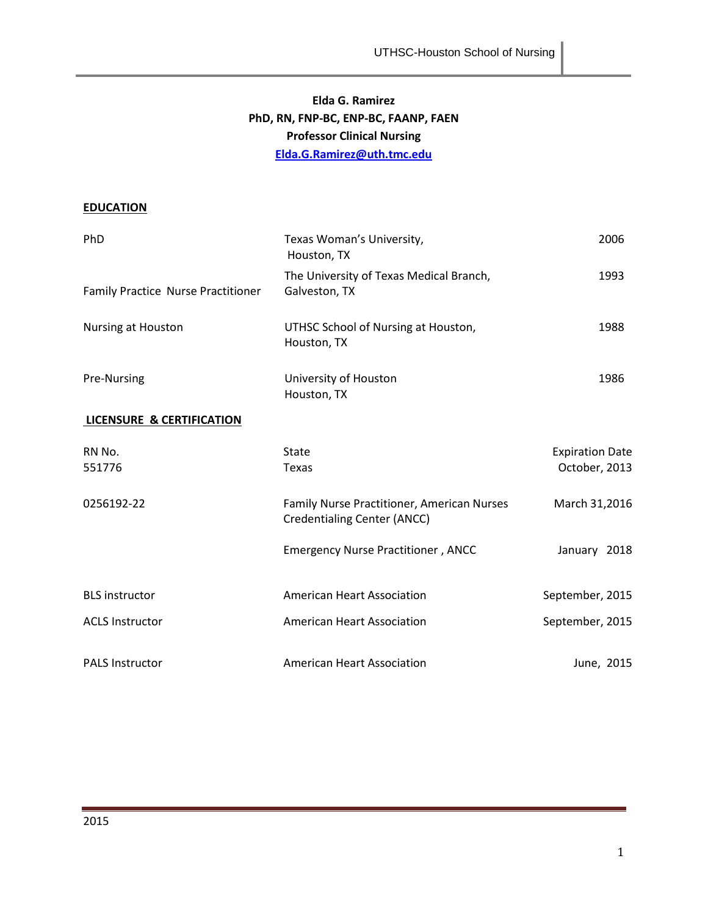# **Elda G. Ramirez PhD, RN, FNP-BC, ENP-BC, FAANP, FAEN Professor Clinical Nursing [Elda.G.Ramirez@uth.tmc.edu](mailto:Elda.G.Ramirez@uth.tmc.edu)**

# **EDUCATION**

| PhD                                  | Texas Woman's University,<br>Houston, TX                                         | 2006                                    |
|--------------------------------------|----------------------------------------------------------------------------------|-----------------------------------------|
| Family Practice Nurse Practitioner   | The University of Texas Medical Branch,<br>Galveston, TX                         | 1993                                    |
| Nursing at Houston                   | UTHSC School of Nursing at Houston,<br>Houston, TX                               | 1988                                    |
| Pre-Nursing                          | University of Houston<br>Houston, TX                                             | 1986                                    |
| <b>LICENSURE &amp; CERTIFICATION</b> |                                                                                  |                                         |
| RN No.<br>551776                     | State<br>Texas                                                                   | <b>Expiration Date</b><br>October, 2013 |
| 0256192-22                           | Family Nurse Practitioner, American Nurses<br><b>Credentialing Center (ANCC)</b> | March 31,2016                           |
|                                      | <b>Emergency Nurse Practitioner, ANCC</b>                                        | January 2018                            |
| <b>BLS</b> instructor                | <b>American Heart Association</b>                                                | September, 2015                         |
| <b>ACLS Instructor</b>               | <b>American Heart Association</b>                                                | September, 2015                         |
| <b>PALS Instructor</b>               | <b>American Heart Association</b>                                                | June, 2015                              |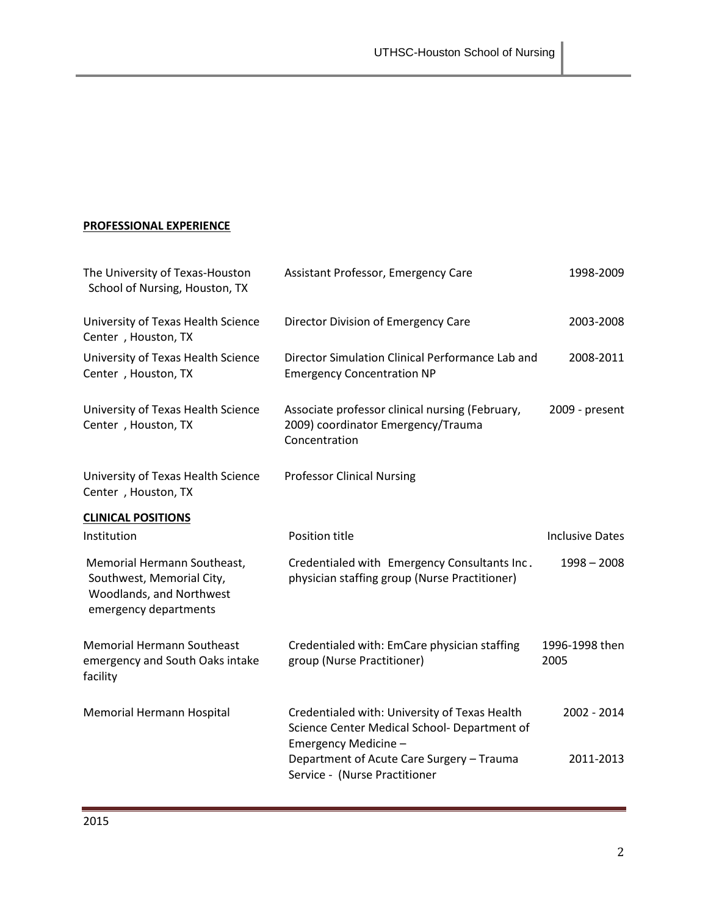# **PROFESSIONAL EXPERIENCE**

| The University of Texas-Houston<br>School of Nursing, Houston, TX                                             | Assistant Professor, Emergency Care                                                                                   | 1998-2009              |
|---------------------------------------------------------------------------------------------------------------|-----------------------------------------------------------------------------------------------------------------------|------------------------|
| University of Texas Health Science<br>Center, Houston, TX                                                     | Director Division of Emergency Care                                                                                   | 2003-2008              |
| University of Texas Health Science<br>Center, Houston, TX                                                     | Director Simulation Clinical Performance Lab and<br><b>Emergency Concentration NP</b>                                 | 2008-2011              |
| University of Texas Health Science<br>Center, Houston, TX                                                     | Associate professor clinical nursing (February,<br>2009) coordinator Emergency/Trauma<br>Concentration                | 2009 - present         |
| University of Texas Health Science<br>Center, Houston, TX                                                     | <b>Professor Clinical Nursing</b>                                                                                     |                        |
| <b>CLINICAL POSITIONS</b>                                                                                     |                                                                                                                       |                        |
| Institution                                                                                                   | Position title                                                                                                        | <b>Inclusive Dates</b> |
| Memorial Hermann Southeast,<br>Southwest, Memorial City,<br>Woodlands, and Northwest<br>emergency departments | Credentialed with Emergency Consultants Inc.<br>physician staffing group (Nurse Practitioner)                         | $1998 - 2008$          |
| <b>Memorial Hermann Southeast</b><br>emergency and South Oaks intake<br>facility                              | Credentialed with: EmCare physician staffing<br>group (Nurse Practitioner)                                            | 1996-1998 then<br>2005 |
| Memorial Hermann Hospital                                                                                     | Credentialed with: University of Texas Health<br>Science Center Medical School- Department of<br>Emergency Medicine - | 2002 - 2014            |
|                                                                                                               | Department of Acute Care Surgery - Trauma<br>Service - (Nurse Practitioner                                            | 2011-2013              |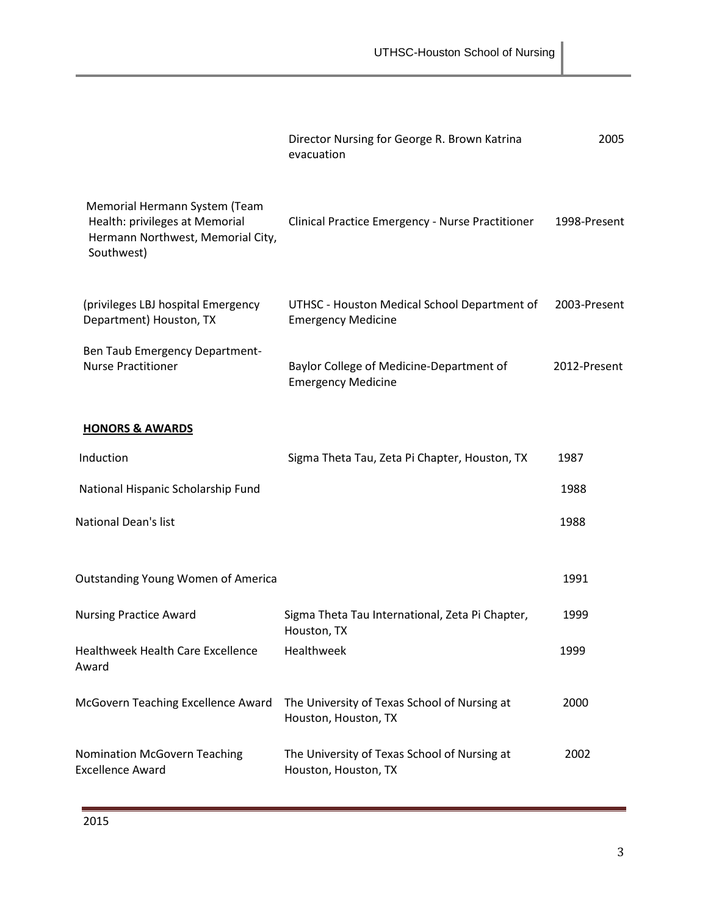|                                                                                                                    | Director Nursing for George R. Brown Katrina<br>evacuation                | 2005         |
|--------------------------------------------------------------------------------------------------------------------|---------------------------------------------------------------------------|--------------|
| Memorial Hermann System (Team<br>Health: privileges at Memorial<br>Hermann Northwest, Memorial City,<br>Southwest) | Clinical Practice Emergency - Nurse Practitioner                          | 1998-Present |
| (privileges LBJ hospital Emergency<br>Department) Houston, TX                                                      | UTHSC - Houston Medical School Department of<br><b>Emergency Medicine</b> | 2003-Present |
| Ben Taub Emergency Department-<br><b>Nurse Practitioner</b>                                                        | Baylor College of Medicine-Department of<br><b>Emergency Medicine</b>     | 2012-Present |
| <b>HONORS &amp; AWARDS</b>                                                                                         |                                                                           |              |
| Induction                                                                                                          | Sigma Theta Tau, Zeta Pi Chapter, Houston, TX                             | 1987         |
| National Hispanic Scholarship Fund                                                                                 |                                                                           | 1988         |
| National Dean's list                                                                                               |                                                                           | 1988         |
| <b>Outstanding Young Women of America</b>                                                                          |                                                                           | 1991         |
| <b>Nursing Practice Award</b>                                                                                      | Sigma Theta Tau International, Zeta Pi Chapter,<br>Houston, TX            | 1999         |
| Healthweek Health Care Excellence<br>Award                                                                         | Healthweek                                                                | 1999         |
| McGovern Teaching Excellence Award                                                                                 | The University of Texas School of Nursing at<br>Houston, Houston, TX      | 2000         |
| Nomination McGovern Teaching<br><b>Excellence Award</b>                                                            | The University of Texas School of Nursing at<br>Houston, Houston, TX      | 2002         |
|                                                                                                                    |                                                                           |              |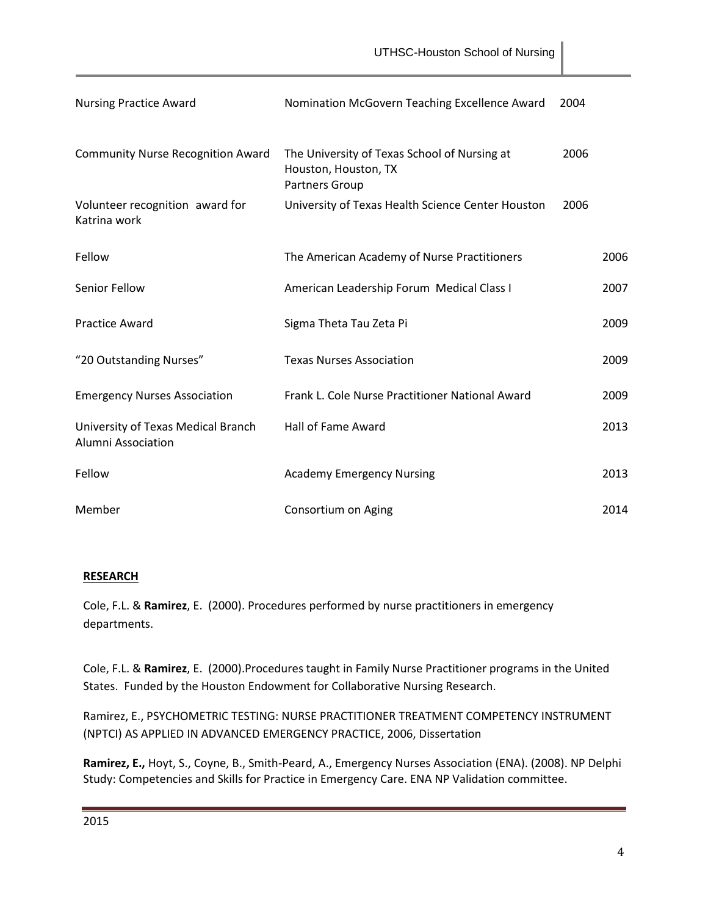| <b>Nursing Practice Award</b>                            | Nomination McGovern Teaching Excellence Award                                          | 2004 |      |
|----------------------------------------------------------|----------------------------------------------------------------------------------------|------|------|
| <b>Community Nurse Recognition Award</b>                 | The University of Texas School of Nursing at<br>Houston, Houston, TX<br>Partners Group | 2006 |      |
| Volunteer recognition award for<br>Katrina work          | University of Texas Health Science Center Houston                                      | 2006 |      |
| Fellow                                                   | The American Academy of Nurse Practitioners                                            |      | 2006 |
| Senior Fellow                                            | American Leadership Forum Medical Class I                                              |      | 2007 |
| <b>Practice Award</b>                                    | Sigma Theta Tau Zeta Pi                                                                |      | 2009 |
| "20 Outstanding Nurses"                                  | <b>Texas Nurses Association</b>                                                        |      | 2009 |
| <b>Emergency Nurses Association</b>                      | Frank L. Cole Nurse Practitioner National Award                                        |      | 2009 |
| University of Texas Medical Branch<br>Alumni Association | <b>Hall of Fame Award</b>                                                              |      | 2013 |
| Fellow                                                   | <b>Academy Emergency Nursing</b>                                                       |      | 2013 |
| Member                                                   | Consortium on Aging                                                                    |      | 2014 |

## **RESEARCH**

Cole, F.L. & **Ramirez**, E. (2000). Procedures performed by nurse practitioners in emergency departments.

Cole, F.L. & **Ramirez**, E. (2000).Procedures taught in Family Nurse Practitioner programs in the United States. Funded by the Houston Endowment for Collaborative Nursing Research.

Ramirez, E., PSYCHOMETRIC TESTING: NURSE PRACTITIONER TREATMENT COMPETENCY INSTRUMENT (NPTCI) AS APPLIED IN ADVANCED EMERGENCY PRACTICE, 2006, Dissertation

**Ramirez, E.,** Hoyt, S., Coyne, B., Smith-Peard, A., Emergency Nurses Association (ENA). (2008). NP Delphi Study: Competencies and Skills for Practice in Emergency Care. ENA NP Validation committee.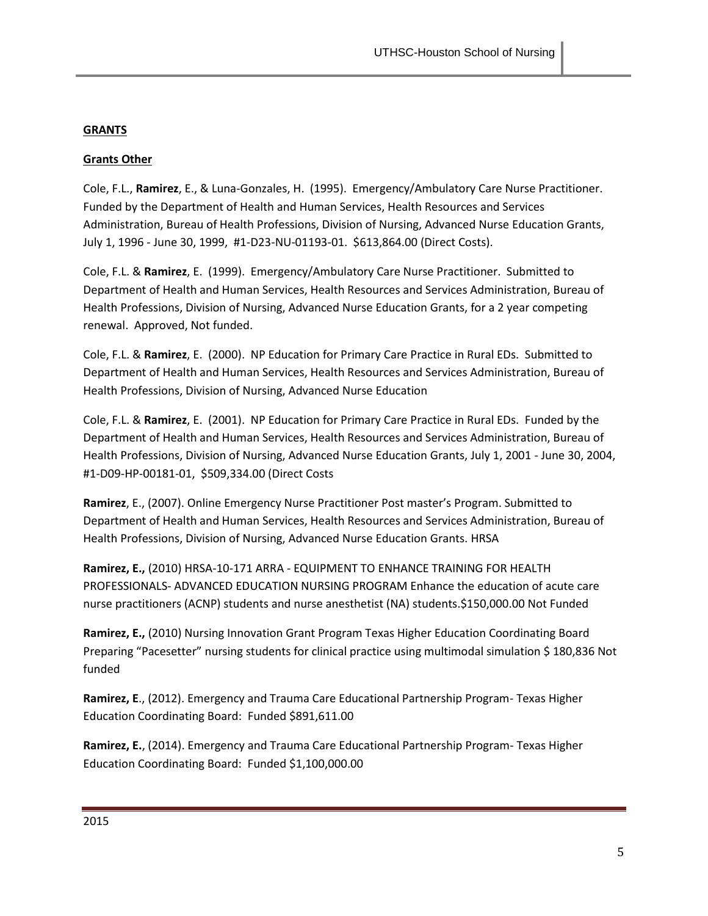## **GRANTS**

## **Grants Other**

Cole, F.L., **Ramirez**, E., & Luna-Gonzales, H. (1995). Emergency/Ambulatory Care Nurse Practitioner. Funded by the Department of Health and Human Services, Health Resources and Services Administration, Bureau of Health Professions, Division of Nursing, Advanced Nurse Education Grants, July 1, 1996 - June 30, 1999, #1-D23-NU-01193-01. \$613,864.00 (Direct Costs).

Cole, F.L. & **Ramirez**, E. (1999). Emergency/Ambulatory Care Nurse Practitioner. Submitted to Department of Health and Human Services, Health Resources and Services Administration, Bureau of Health Professions, Division of Nursing, Advanced Nurse Education Grants, for a 2 year competing renewal. Approved, Not funded.

Cole, F.L. & **Ramirez**, E. (2000). NP Education for Primary Care Practice in Rural EDs. Submitted to Department of Health and Human Services, Health Resources and Services Administration, Bureau of Health Professions, Division of Nursing, Advanced Nurse Education

Cole, F.L. & **Ramirez**, E. (2001). NP Education for Primary Care Practice in Rural EDs. Funded by the Department of Health and Human Services, Health Resources and Services Administration, Bureau of Health Professions, Division of Nursing, Advanced Nurse Education Grants, July 1, 2001 - June 30, 2004, #1-D09-HP-00181-01, \$509,334.00 (Direct Costs

**Ramirez**, E., (2007). Online Emergency Nurse Practitioner Post master's Program. Submitted to Department of Health and Human Services, Health Resources and Services Administration, Bureau of Health Professions, Division of Nursing, Advanced Nurse Education Grants. HRSA

**Ramirez, E.,** (2010) HRSA-10-171 ARRA - EQUIPMENT TO ENHANCE TRAINING FOR HEALTH PROFESSIONALS- ADVANCED EDUCATION NURSING PROGRAM Enhance the education of acute care nurse practitioners (ACNP) students and nurse anesthetist (NA) students.\$150,000.00 Not Funded

**Ramirez, E.,** (2010) Nursing Innovation Grant Program Texas Higher Education Coordinating Board Preparing "Pacesetter" nursing students for clinical practice using multimodal simulation \$ 180,836 Not funded

**Ramirez, E**., (2012). Emergency and Trauma Care Educational Partnership Program- Texas Higher Education Coordinating Board: Funded \$891,611.00

**Ramirez, E.**, (2014). Emergency and Trauma Care Educational Partnership Program- Texas Higher Education Coordinating Board: Funded \$1,100,000.00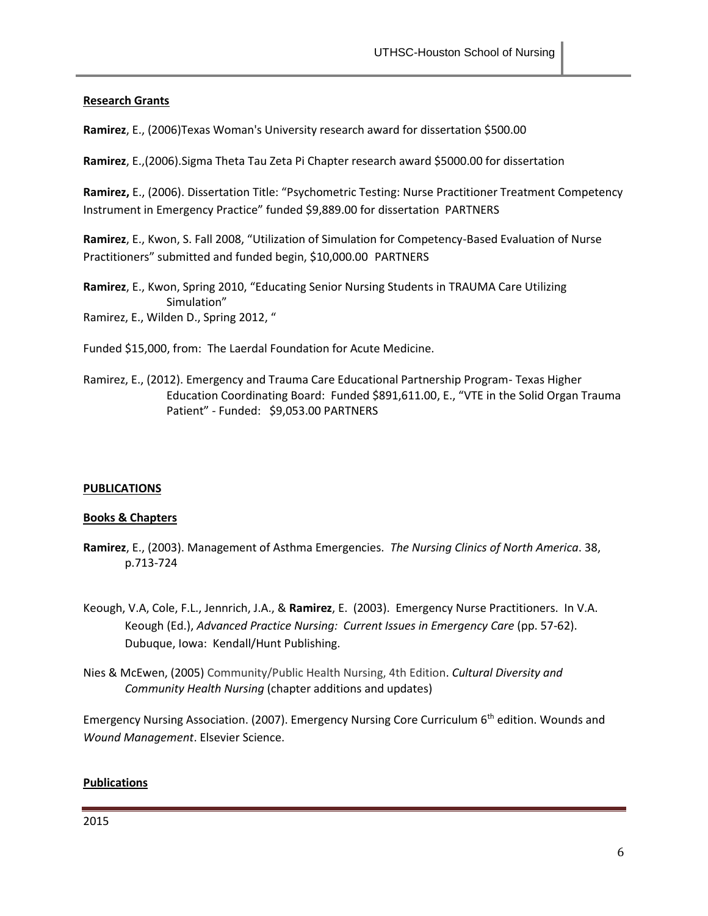## **Research Grants**

**Ramirez**, E., (2006)Texas Woman's University research award for dissertation \$500.00

**Ramirez**, E.,(2006).Sigma Theta Tau Zeta Pi Chapter research award \$5000.00 for dissertation

**Ramirez,** E., (2006). Dissertation Title: "Psychometric Testing: Nurse Practitioner Treatment Competency Instrument in Emergency Practice" funded \$9,889.00 for dissertation PARTNERS

**Ramirez**, E., Kwon, S. Fall 2008, "Utilization of Simulation for Competency-Based Evaluation of Nurse Practitioners" submitted and funded begin, \$10,000.00 PARTNERS

**Ramirez**, E., Kwon, Spring 2010, "Educating Senior Nursing Students in TRAUMA Care Utilizing Simulation" Ramirez, E., Wilden D., Spring 2012, "

Funded \$15,000, from: The Laerdal Foundation for Acute Medicine.

Ramirez, E., (2012). Emergency and Trauma Care Educational Partnership Program- Texas Higher Education Coordinating Board: Funded \$891,611.00, E., "VTE in the Solid Organ Trauma Patient" - Funded: \$9,053.00 PARTNERS

### **PUBLICATIONS**

## **Books & Chapters**

- **Ramirez**, E., (2003). Management of Asthma Emergencies. *The Nursing Clinics of North America*. 38, p.713-724
- Keough, V.A, Cole, F.L., Jennrich, J.A., & **Ramirez**, E. (2003). Emergency Nurse Practitioners. In V.A. Keough (Ed.), *Advanced Practice Nursing: Current Issues in Emergency Care* (pp. 57-62). Dubuque, Iowa: Kendall/Hunt Publishing.
- Nies & McEwen, (2005) Community/Public Health Nursing, 4th Edition. *Cultural Diversity and Community Health Nursing* (chapter additions and updates)

Emergency Nursing Association. (2007). Emergency Nursing Core Curriculum 6<sup>th</sup> edition. Wounds and *Wound Management*. Elsevier Science.

### **Publications**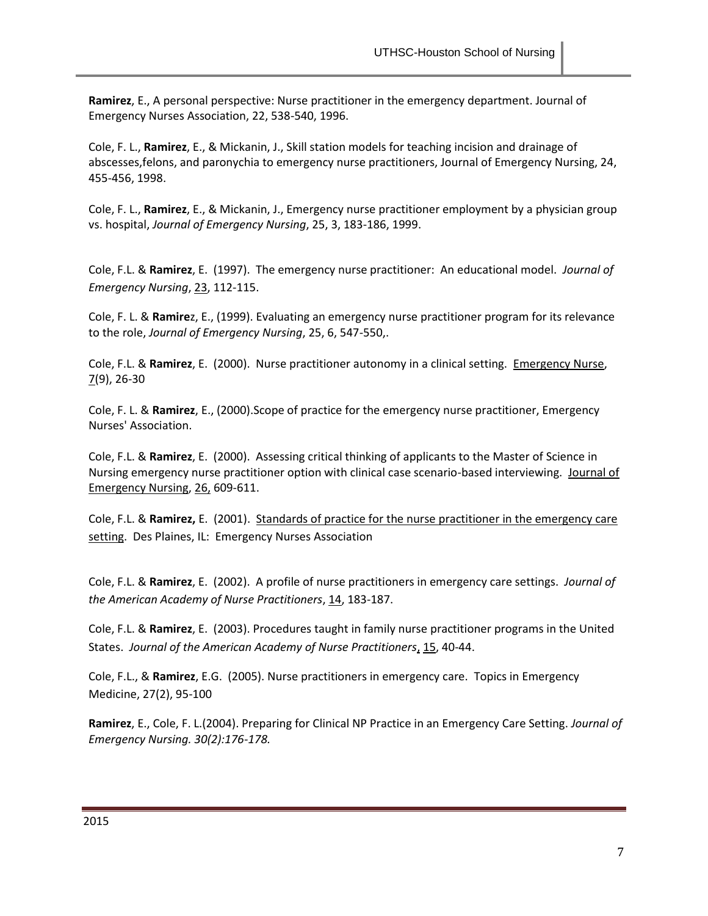**Ramirez**, E., A personal perspective: Nurse practitioner in the emergency department. Journal of Emergency Nurses Association, 22, 538-540, 1996.

Cole, F. L., **Ramirez**, E., & Mickanin, J., Skill station models for teaching incision and drainage of abscesses,felons, and paronychia to emergency nurse practitioners, Journal of Emergency Nursing, 24, 455-456, 1998.

Cole, F. L., **Ramirez**, E., & Mickanin, J., Emergency nurse practitioner employment by a physician group vs. hospital, *Journal of Emergency Nursing*, 25, 3, 183-186, 1999.

Cole, F.L. & **Ramirez**, E. (1997). The emergency nurse practitioner: An educational model. *Journal of Emergency Nursing*, 23, 112-115.

Cole, F. L. & **Ramire**z, E., (1999). Evaluating an emergency nurse practitioner program for its relevance to the role, *Journal of Emergency Nursing*, 25, 6, 547-550,.

Cole, F.L. & **Ramirez**, E. (2000). Nurse practitioner autonomy in a clinical setting. Emergency Nurse,  $7(9)$ , 26-30

Cole, F. L. & **Ramirez**, E., (2000).Scope of practice for the emergency nurse practitioner, Emergency Nurses' Association.

Cole, F.L. & **Ramirez**, E. (2000). Assessing critical thinking of applicants to the Master of Science in Nursing emergency nurse practitioner option with clinical case scenario-based interviewing. Journal of Emergency Nursing, 26, 609-611.

Cole, F.L. & **Ramirez,** E. (2001). Standards of practice for the nurse practitioner in the emergency care setting. Des Plaines, IL: Emergency Nurses Association

Cole, F.L. & **Ramirez**, E. (2002). A profile of nurse practitioners in emergency care settings. *Journal of the American Academy of Nurse Practitioners*, 14, 183-187.

Cole, F.L. & **Ramirez**, E. (2003). Procedures taught in family nurse practitioner programs in the United States. *Journal of the American Academy of Nurse Practitioners*, 15, 40-44.

Cole, F.L., & **Ramirez**, E.G. (2005). Nurse practitioners in emergency care. Topics in Emergency Medicine, 27(2), 95-100

**Ramirez**, E., Cole, F. L.(2004). Preparing for Clinical NP Practice in an Emergency Care Setting. *Journal of Emergency Nursing. 30(2):176-178.*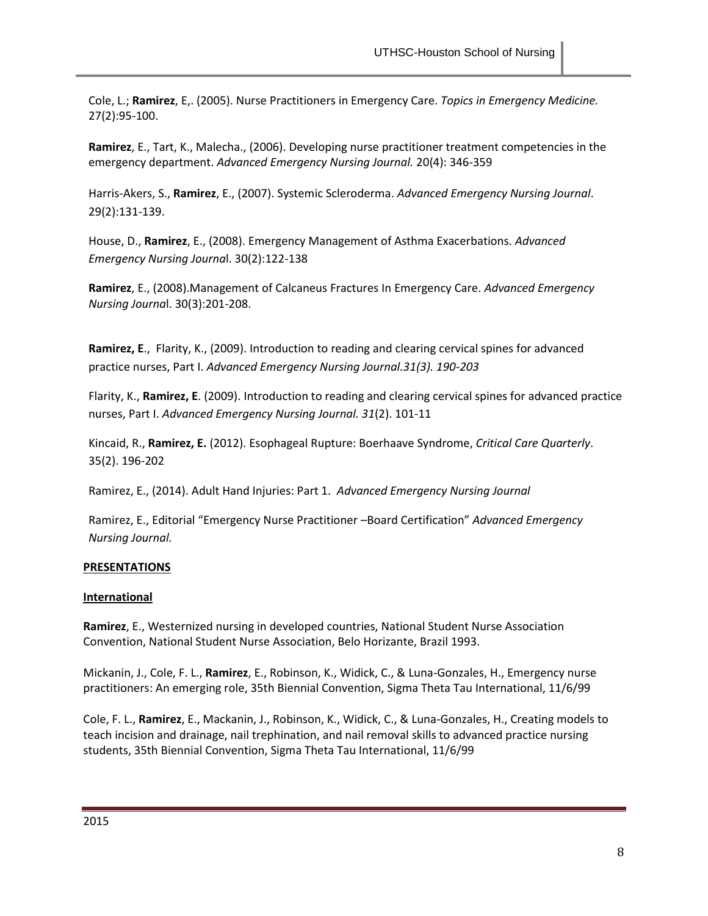Cole, L.; **Ramirez**, E,. (2005). Nurse Practitioners in Emergency Care. *Topics in Emergency Medicine.* 27(2):95-100.

**Ramirez**, E., Tart, K., Malecha., (2006). Developing nurse practitioner treatment competencies in the emergency department. *Advanced Emergency Nursing Journal.* 20(4): 346-359

Harris-Akers, S., **Ramirez**, E., (2007). Systemic Scleroderma. *Advanced Emergency Nursing Journal*. 29(2):131-139.

House, D., **Ramirez**, E., (2008). Emergency Management of Asthma Exacerbations. *Advanced Emergency Nursing Journa*l. 30(2):122-138

**Ramirez**, E., (2008).Management of Calcaneus Fractures In Emergency Care. *Advanced Emergency Nursing Journa*l. 30(3):201-208.

**Ramirez, E**., Flarity, K., (2009). Introduction to reading and clearing cervical spines for advanced practice nurses, Part I. *Advanced Emergency Nursing Journal.31(3). 190-203*

Flarity, K., **Ramirez, E**. (2009). Introduction to reading and clearing cervical spines for advanced practice nurses, Part I. *Advanced Emergency Nursing Journal. 31*(2). 101-11

Kincaid, R., **Ramirez, E.** (2012). Esophageal Rupture: Boerhaave Syndrome, *Critical Care Quarterly*. 35(2). 196-202

Ramirez, E., (2014). Adult Hand Injuries: Part 1. *Advanced Emergency Nursing Journal*

Ramirez, E., Editorial "Emergency Nurse Practitioner –Board Certification" *Advanced Emergency Nursing Journal.* 

## **PRESENTATIONS**

## **International**

**Ramirez**, E., Westernized nursing in developed countries, National Student Nurse Association Convention, National Student Nurse Association, Belo Horizante, Brazil 1993.

Mickanin, J., Cole, F. L., **Ramirez**, E., Robinson, K., Widick, C., & Luna-Gonzales, H., Emergency nurse practitioners: An emerging role, 35th Biennial Convention, Sigma Theta Tau International, 11/6/99

Cole, F. L., **Ramirez**, E., Mackanin, J., Robinson, K., Widick, C., & Luna-Gonzales, H., Creating models to teach incision and drainage, nail trephination, and nail removal skills to advanced practice nursing students, 35th Biennial Convention, Sigma Theta Tau International, 11/6/99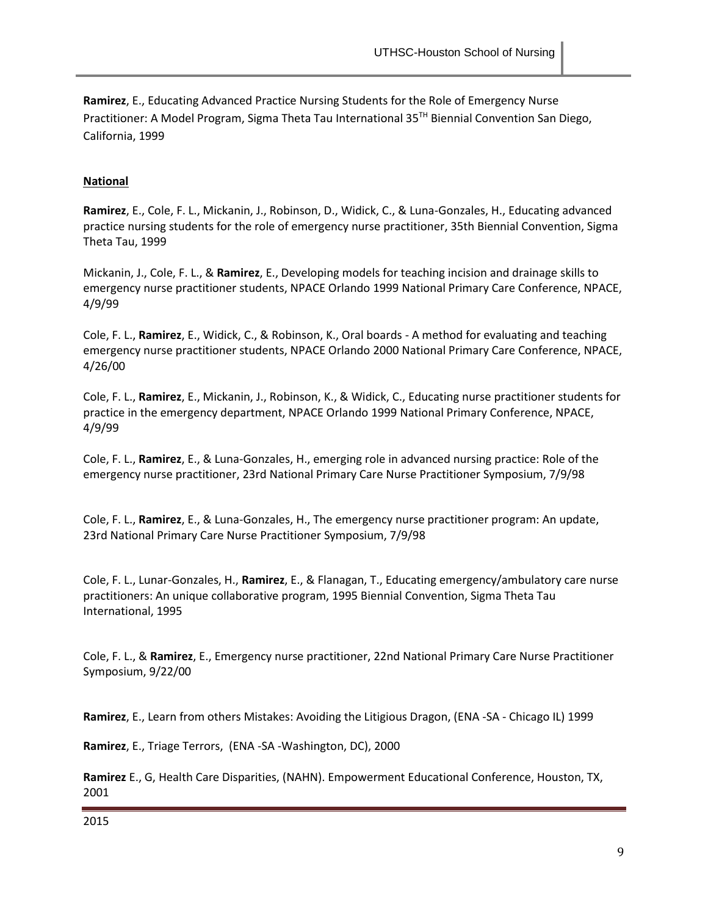**Ramirez**, E., Educating Advanced Practice Nursing Students for the Role of Emergency Nurse Practitioner: A Model Program, Sigma Theta Tau International 35TH Biennial Convention San Diego, California, 1999

## **National**

**Ramirez**, E., Cole, F. L., Mickanin, J., Robinson, D., Widick, C., & Luna-Gonzales, H., Educating advanced practice nursing students for the role of emergency nurse practitioner, 35th Biennial Convention, Sigma Theta Tau, 1999

Mickanin, J., Cole, F. L., & **Ramirez**, E., Developing models for teaching incision and drainage skills to emergency nurse practitioner students, NPACE Orlando 1999 National Primary Care Conference, NPACE, 4/9/99

Cole, F. L., **Ramirez**, E., Widick, C., & Robinson, K., Oral boards - A method for evaluating and teaching emergency nurse practitioner students, NPACE Orlando 2000 National Primary Care Conference, NPACE, 4/26/00

Cole, F. L., **Ramirez**, E., Mickanin, J., Robinson, K., & Widick, C., Educating nurse practitioner students for practice in the emergency department, NPACE Orlando 1999 National Primary Conference, NPACE, 4/9/99

Cole, F. L., **Ramirez**, E., & Luna-Gonzales, H., emerging role in advanced nursing practice: Role of the emergency nurse practitioner, 23rd National Primary Care Nurse Practitioner Symposium, 7/9/98

Cole, F. L., **Ramirez**, E., & Luna-Gonzales, H., The emergency nurse practitioner program: An update, 23rd National Primary Care Nurse Practitioner Symposium, 7/9/98

Cole, F. L., Lunar-Gonzales, H., **Ramirez**, E., & Flanagan, T., Educating emergency/ambulatory care nurse practitioners: An unique collaborative program, 1995 Biennial Convention, Sigma Theta Tau International, 1995

Cole, F. L., & **Ramirez**, E., Emergency nurse practitioner, 22nd National Primary Care Nurse Practitioner Symposium, 9/22/00

**Ramirez**, E., Learn from others Mistakes: Avoiding the Litigious Dragon, (ENA -SA - Chicago IL) 1999

**Ramirez**, E., Triage Terrors, (ENA -SA -Washington, DC), 2000

**Ramirez** E., G, Health Care Disparities, (NAHN). Empowerment Educational Conference, Houston, TX, 2001

2015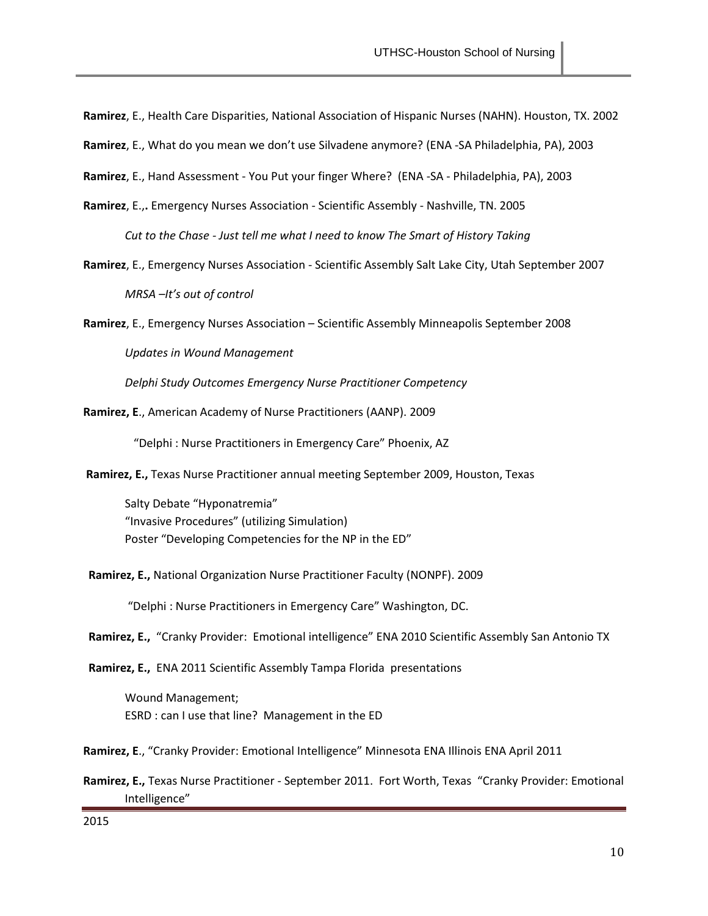**Ramirez**, E., Health Care Disparities, National Association of Hispanic Nurses (NAHN). Houston, TX. 2002

**Ramirez**, E., What do you mean we don't use Silvadene anymore? (ENA -SA Philadelphia, PA), 2003

**Ramirez**, E., Hand Assessment - You Put your finger Where? (ENA -SA - Philadelphia, PA), 2003

- **Ramirez**, E.,**.** Emergency Nurses Association Scientific Assembly Nashville, TN. 2005 *Cut to the Chase - Just tell me what I need to know The Smart of History Taking*
- **Ramirez**, E., Emergency Nurses Association Scientific Assembly Salt Lake City, Utah September 2007 *MRSA –It's out of control*

**Ramirez**, E., Emergency Nurses Association – Scientific Assembly Minneapolis September 2008

*Updates in Wound Management*

*Delphi Study Outcomes Emergency Nurse Practitioner Competency* 

**Ramirez, E**., American Academy of Nurse Practitioners (AANP). 2009

"Delphi : Nurse Practitioners in Emergency Care" Phoenix, AZ

**Ramirez, E.,** Texas Nurse Practitioner annual meeting September 2009, Houston, Texas

Salty Debate "Hyponatremia" "Invasive Procedures" (utilizing Simulation) Poster "Developing Competencies for the NP in the ED"

**Ramirez, E.,** National Organization Nurse Practitioner Faculty (NONPF). 2009

"Delphi : Nurse Practitioners in Emergency Care" Washington, DC.

**Ramirez, E.,** "Cranky Provider: Emotional intelligence" ENA 2010 Scientific Assembly San Antonio TX

**Ramirez, E.,** ENA 2011 Scientific Assembly Tampa Florida presentations

Wound Management; ESRD : can I use that line? Management in the ED

**Ramirez, E**., "Cranky Provider: Emotional Intelligence" Minnesota ENA Illinois ENA April 2011

**Ramirez, E.,** Texas Nurse Practitioner - September 2011. Fort Worth, Texas "Cranky Provider: Emotional Intelligence"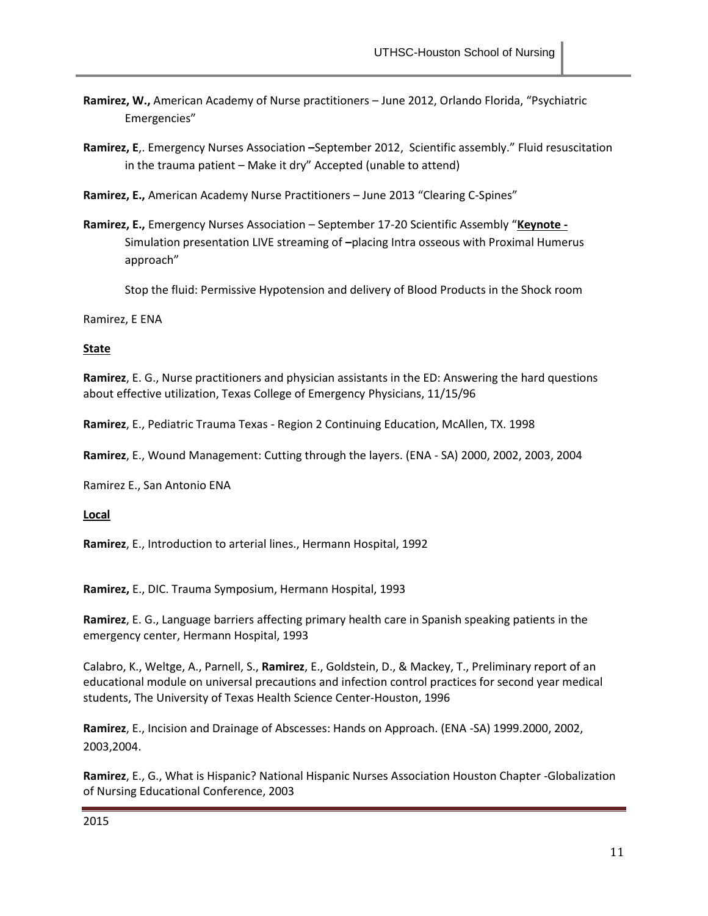- **Ramirez, W.,** American Academy of Nurse practitioners June 2012, Orlando Florida, "Psychiatric Emergencies"
- **Ramirez, E**,. Emergency Nurses Association **–**September 2012,Scientific assembly." Fluid resuscitation in the trauma patient – Make it dry" Accepted (unable to attend)
- **Ramirez, E.,** American Academy Nurse Practitioners June 2013 "Clearing C-Spines"
- **Ramirez, E.,** Emergency Nurses Association September 17-20 Scientific Assembly "**Keynote -** Simulation presentation LIVE streaming of **–**placing Intra osseous with Proximal Humerus approach"

Stop the fluid: Permissive Hypotension and delivery of Blood Products in the Shock room

Ramirez, E ENA

## **State**

**Ramirez**, E. G., Nurse practitioners and physician assistants in the ED: Answering the hard questions about effective utilization, Texas College of Emergency Physicians, 11/15/96

**Ramirez**, E., Pediatric Trauma Texas - Region 2 Continuing Education, McAllen, TX. 1998

**Ramirez**, E., Wound Management: Cutting through the layers. (ENA - SA) 2000, 2002, 2003, 2004

Ramirez E., San Antonio ENA

**Local**

**Ramirez**, E., Introduction to arterial lines., Hermann Hospital, 1992

**Ramirez,** E., DIC. Trauma Symposium, Hermann Hospital, 1993

**Ramirez**, E. G., Language barriers affecting primary health care in Spanish speaking patients in the emergency center, Hermann Hospital, 1993

Calabro, K., Weltge, A., Parnell, S., **Ramirez**, E., Goldstein, D., & Mackey, T., Preliminary report of an educational module on universal precautions and infection control practices for second year medical students, The University of Texas Health Science Center-Houston, 1996

**Ramirez**, E., Incision and Drainage of Abscesses: Hands on Approach. (ENA -SA) 1999.2000, 2002, 2003,2004.

**Ramirez**, E., G., What is Hispanic? National Hispanic Nurses Association Houston Chapter -Globalization of Nursing Educational Conference, 2003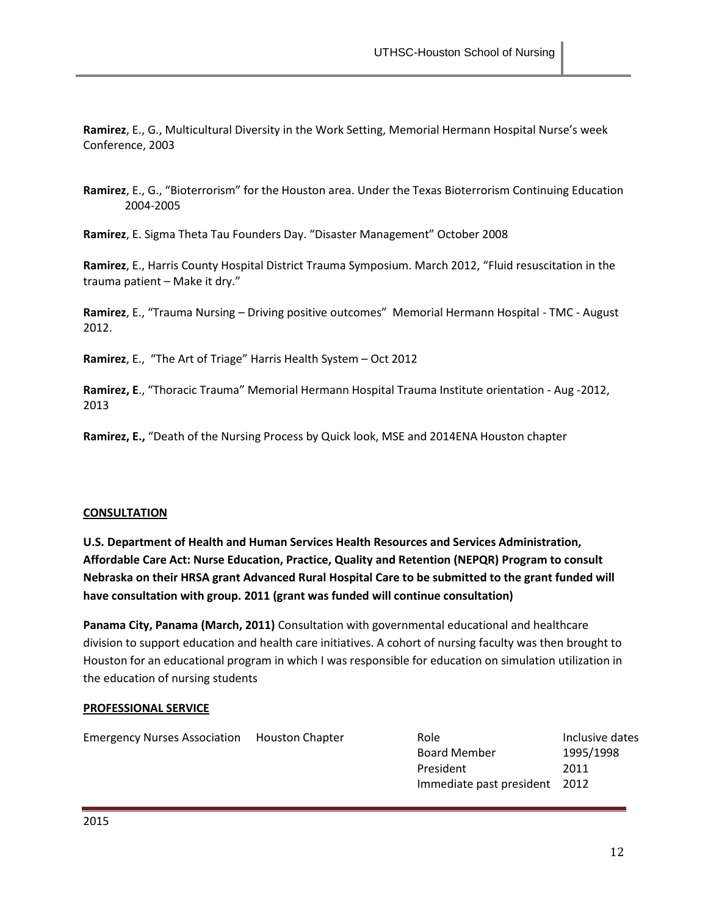**Ramirez**, E., G., Multicultural Diversity in the Work Setting, Memorial Hermann Hospital Nurse's week Conference, 2003

**Ramirez**, E., G., "Bioterrorism" for the Houston area. Under the Texas Bioterrorism Continuing Education 2004-2005

**Ramirez**, E. Sigma Theta Tau Founders Day. "Disaster Management" October 2008

**Ramirez**, E., Harris County Hospital District Trauma Symposium. March 2012, "Fluid resuscitation in the trauma patient – Make it dry."

**Ramirez**, E., "Trauma Nursing – Driving positive outcomes" Memorial Hermann Hospital - TMC - August 2012.

**Ramirez**, E., "The Art of Triage" Harris Health System – Oct 2012

**Ramirez, E**., "Thoracic Trauma" Memorial Hermann Hospital Trauma Institute orientation - Aug -2012, 2013

**Ramirez, E.,** "Death of the Nursing Process by Quick look, MSE and 2014ENA Houston chapter

### **CONSULTATION**

**U.S. Department of Health and Human Services Health Resources and Services Administration, Affordable Care Act: Nurse Education, Practice, Quality and Retention (NEPQR) Program to consult Nebraska on their HRSA grant Advanced Rural Hospital Care to be submitted to the grant funded will have consultation with group. 2011 (grant was funded will continue consultation)**

**Panama City, Panama (March, 2011)** Consultation with governmental educational and healthcare division to support education and health care initiatives. A cohort of nursing faculty was then brought to Houston for an educational program in which I was responsible for education on simulation utilization in the education of nursing students

### **PROFESSIONAL SERVICE**

| Emergency Nurses Association Houston Chapter | Role                          | Inclusive dates |
|----------------------------------------------|-------------------------------|-----------------|
|                                              | <b>Board Member</b>           | 1995/1998       |
|                                              | President                     | 2011            |
|                                              | Immediate past president 2012 |                 |
|                                              |                               |                 |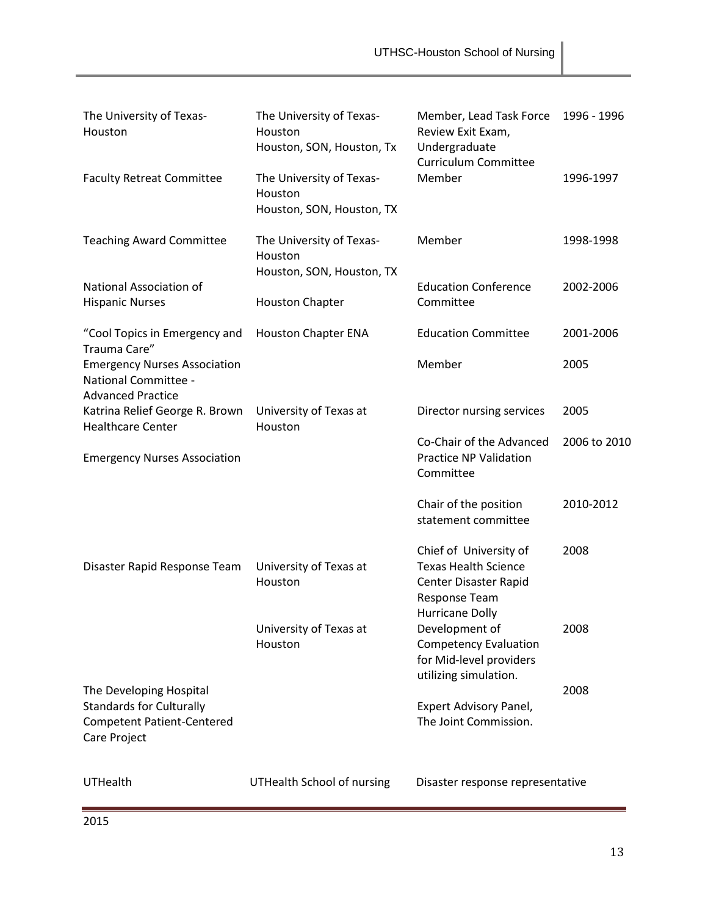| The University of Texas-<br>Houston                                                                             | The University of Texas-<br>Houston<br>Houston, SON, Houston, Tx | Member, Lead Task Force<br>Review Exit Exam,<br>Undergraduate<br><b>Curriculum Committee</b>                              | 1996 - 1996  |
|-----------------------------------------------------------------------------------------------------------------|------------------------------------------------------------------|---------------------------------------------------------------------------------------------------------------------------|--------------|
| <b>Faculty Retreat Committee</b>                                                                                | The University of Texas-<br>Houston<br>Houston, SON, Houston, TX | Member                                                                                                                    | 1996-1997    |
| <b>Teaching Award Committee</b>                                                                                 | The University of Texas-<br>Houston<br>Houston, SON, Houston, TX | Member                                                                                                                    | 1998-1998    |
| National Association of<br><b>Hispanic Nurses</b>                                                               | <b>Houston Chapter</b>                                           | <b>Education Conference</b><br>Committee                                                                                  | 2002-2006    |
| "Cool Topics in Emergency and<br>Trauma Care"                                                                   | <b>Houston Chapter ENA</b>                                       | <b>Education Committee</b>                                                                                                | 2001-2006    |
| <b>Emergency Nurses Association</b><br>National Committee -<br><b>Advanced Practice</b>                         |                                                                  | Member                                                                                                                    | 2005         |
| Katrina Relief George R. Brown<br><b>Healthcare Center</b>                                                      | University of Texas at<br>Houston                                | Director nursing services                                                                                                 | 2005         |
| <b>Emergency Nurses Association</b>                                                                             |                                                                  | Co-Chair of the Advanced<br><b>Practice NP Validation</b><br>Committee                                                    | 2006 to 2010 |
|                                                                                                                 |                                                                  | Chair of the position<br>statement committee                                                                              | 2010-2012    |
| Disaster Rapid Response Team                                                                                    | University of Texas at<br>Houston                                | Chief of University of<br><b>Texas Health Science</b><br>Center Disaster Rapid<br>Response Team<br><b>Hurricane Dolly</b> | 2008         |
|                                                                                                                 | University of Texas at<br>Houston                                | Development of<br><b>Competency Evaluation</b><br>for Mid-level providers<br>utilizing simulation.                        | 2008         |
| The Developing Hospital<br><b>Standards for Culturally</b><br><b>Competent Patient-Centered</b><br>Care Project |                                                                  | Expert Advisory Panel,<br>The Joint Commission.                                                                           | 2008         |
| <b>UTHealth</b>                                                                                                 | <b>UTHealth School of nursing</b>                                | Disaster response representative                                                                                          |              |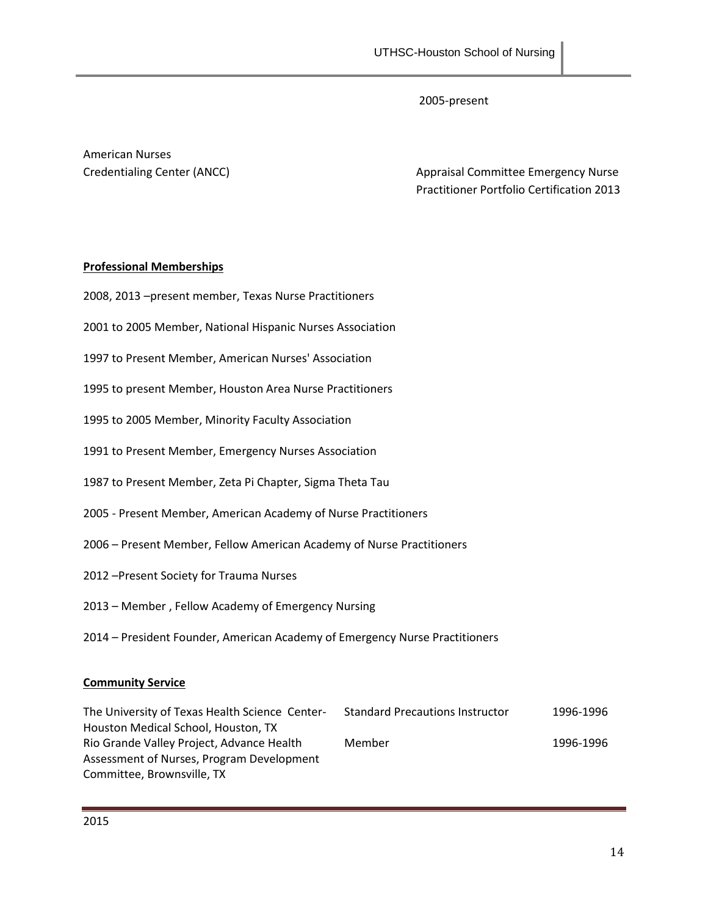Member 1996-1996

2005-present

American Nurses

Credentialing Center (ANCC) and Committee Emergency Nurse Practitioner Portfolio Certification 2013

## **Professional Memberships**

| 2008, 2013 - present member, Texas Nurse Practitioners                                                                          |           |
|---------------------------------------------------------------------------------------------------------------------------------|-----------|
| 2001 to 2005 Member, National Hispanic Nurses Association                                                                       |           |
| 1997 to Present Member, American Nurses' Association                                                                            |           |
| 1995 to present Member, Houston Area Nurse Practitioners                                                                        |           |
| 1995 to 2005 Member, Minority Faculty Association                                                                               |           |
| 1991 to Present Member, Emergency Nurses Association                                                                            |           |
| 1987 to Present Member, Zeta Pi Chapter, Sigma Theta Tau                                                                        |           |
| 2005 - Present Member, American Academy of Nurse Practitioners                                                                  |           |
| 2006 – Present Member, Fellow American Academy of Nurse Practitioners                                                           |           |
| 2012 - Present Society for Trauma Nurses                                                                                        |           |
| 2013 - Member, Fellow Academy of Emergency Nursing                                                                              |           |
| 2014 – President Founder, American Academy of Emergency Nurse Practitioners                                                     |           |
| <b>Community Service</b>                                                                                                        |           |
| The University of Texas Health Science Center-<br><b>Standard Precautions Instructor</b><br>Houston Medical School, Houston, TX | 1996-1996 |

Assessment of Nurses, Program Development Committee, Brownsville, TX

Rio Grande Valley Project, Advance Health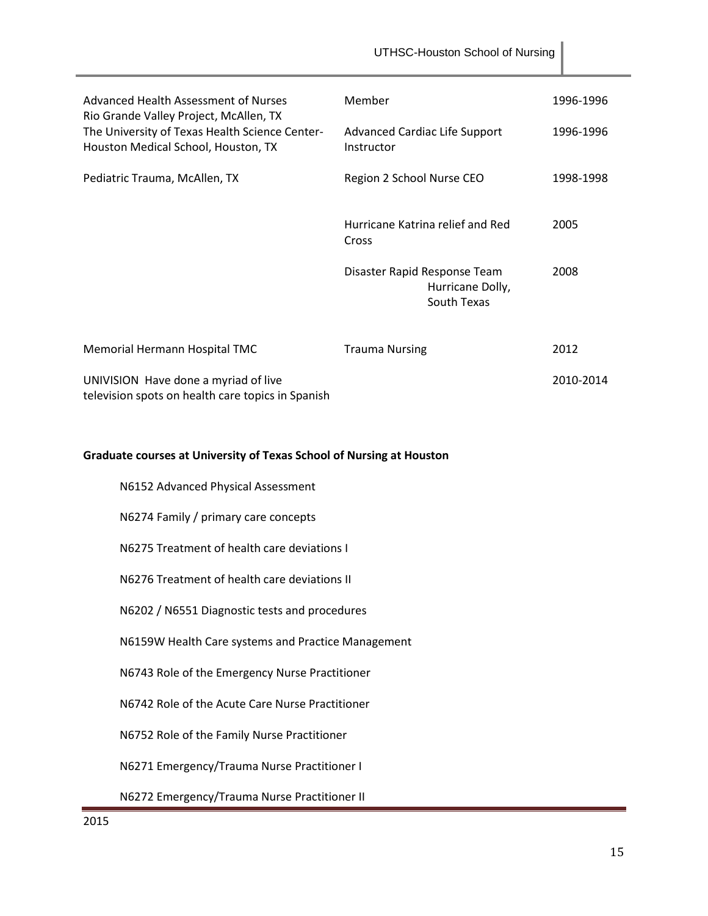|                                                                                           | UTHSC-Houston School of Nursing                                 |           |
|-------------------------------------------------------------------------------------------|-----------------------------------------------------------------|-----------|
| Advanced Health Assessment of Nurses<br>Rio Grande Valley Project, McAllen, TX            | Member                                                          | 1996-1996 |
| The University of Texas Health Science Center-<br>Houston Medical School, Houston, TX     | <b>Advanced Cardiac Life Support</b><br>Instructor              | 1996-1996 |
| Pediatric Trauma, McAllen, TX                                                             | Region 2 School Nurse CEO                                       | 1998-1998 |
|                                                                                           | Hurricane Katrina relief and Red<br>Cross                       | 2005      |
|                                                                                           | Disaster Rapid Response Team<br>Hurricane Dolly,<br>South Texas | 2008      |
| Memorial Hermann Hospital TMC                                                             | <b>Trauma Nursing</b>                                           | 2012      |
| UNIVISION Have done a myriad of live<br>television spots on health care topics in Spanish |                                                                 | 2010-2014 |

# **Graduate courses at University of Texas School of Nursing at Houston**

| N6152 Advanced Physical Assessment                 |
|----------------------------------------------------|
| N6274 Family / primary care concepts               |
| N6275 Treatment of health care deviations I        |
| N6276 Treatment of health care deviations II       |
| N6202 / N6551 Diagnostic tests and procedures      |
| N6159W Health Care systems and Practice Management |
| N6743 Role of the Emergency Nurse Practitioner     |
| N6742 Role of the Acute Care Nurse Practitioner    |
| N6752 Role of the Family Nurse Practitioner        |
| N6271 Emergency/Trauma Nurse Practitioner I        |
| N6272 Emergency/Trauma Nurse Practitioner II       |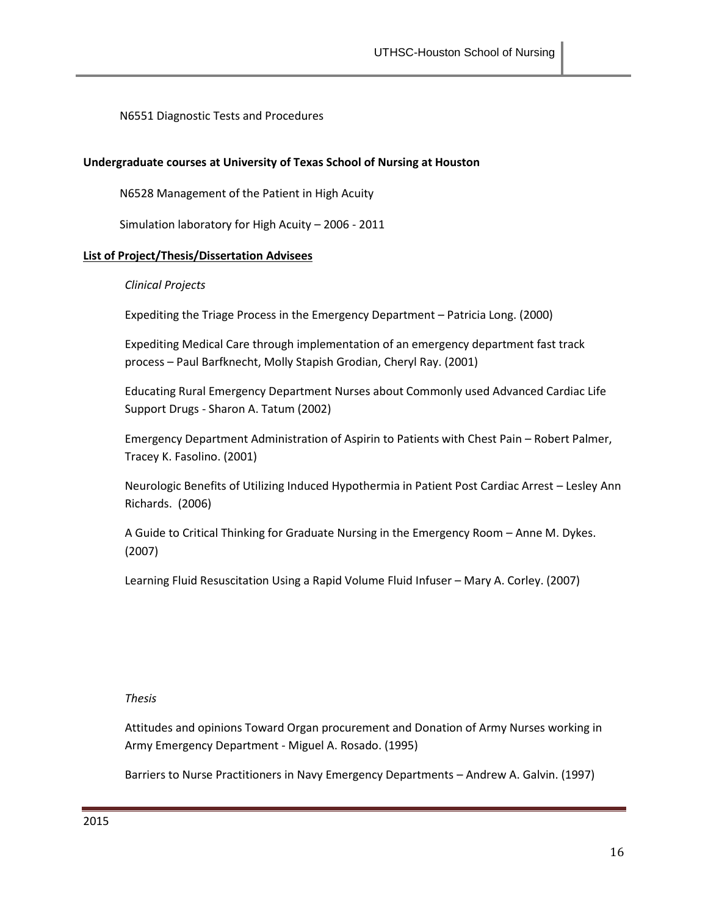N6551 Diagnostic Tests and Procedures

#### **Undergraduate courses at University of Texas School of Nursing at Houston**

N6528 Management of the Patient in High Acuity

Simulation laboratory for High Acuity – 2006 - 2011

#### **List of Project/Thesis/Dissertation Advisees**

#### *Clinical Projects*

Expediting the Triage Process in the Emergency Department – Patricia Long. (2000)

Expediting Medical Care through implementation of an emergency department fast track process – Paul Barfknecht, Molly Stapish Grodian, Cheryl Ray. (2001)

Educating Rural Emergency Department Nurses about Commonly used Advanced Cardiac Life Support Drugs - Sharon A. Tatum (2002)

Emergency Department Administration of Aspirin to Patients with Chest Pain – Robert Palmer, Tracey K. Fasolino. (2001)

Neurologic Benefits of Utilizing Induced Hypothermia in Patient Post Cardiac Arrest – Lesley Ann Richards. (2006)

A Guide to Critical Thinking for Graduate Nursing in the Emergency Room – Anne M. Dykes. (2007)

Learning Fluid Resuscitation Using a Rapid Volume Fluid Infuser – Mary A. Corley. (2007)

#### *Thesis*

Attitudes and opinions Toward Organ procurement and Donation of Army Nurses working in Army Emergency Department - Miguel A. Rosado. (1995)

Barriers to Nurse Practitioners in Navy Emergency Departments – Andrew A. Galvin. (1997)